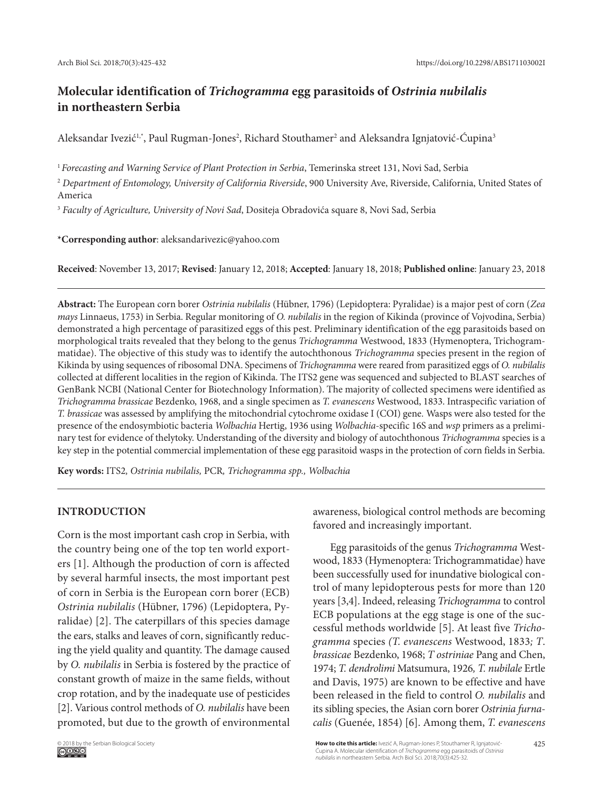# **Molecular identification of** *Trichogramma* **egg parasitoids of** *Ostrinia nubilalis*  **in northeastern Serbia**

Aleksandar Ivezić<sup>1,</sup>\*, Paul Rugman-Jones<sup>2</sup>, Richard Stouthamer<sup>2</sup> and Aleksandra Ignjatović-Čupina<sup>3</sup>

<sup>1</sup>*Forecasting and Warning Service of Plant Protection in Serbia*, Temerinska street 131, Novi Sad, Serbia

<sup>2</sup> *Department of Entomology, University of California Riverside*, 900 University Ave, Riverside, California, United States of America

<sup>3</sup> *Faculty of Agriculture, University of Novi Sad*, Dositeja Obradovića square 8, Novi Sad, Serbia

**\*Corresponding author**: aleksandarivezic@yahoo.com

**Received**: November 13, 2017; **Revised**: January 12, 2018; **Accepted**: January 18, 2018; **Published online**: January 23, 2018

**Abstract:** The European corn borer *Ostrinia nubilalis* (Hübner, 1796) (Lepidoptera: Pyralidae) is a major pest of corn (*Zea mays* Linnaeus, 1753) in Serbia. Regular monitoring of *O. nubilalis* in the region of Kikinda (province of Vojvodina, Serbia) demonstrated a high percentage of parasitized eggs of this pest. Preliminary identification of the egg parasitoids based on morphological traits revealed that they belong to the genus *Trichogramma* Westwood, 1833 (Hymenoptera, Trichogrammatidae). The objective of this study was to identify the autochthonous *Trichogramma* species present in the region of Kikinda by using sequences of ribosomal DNA. Specimens of *Trichogramma* were reared from parasitized eggs of *O. nubilalis* collected at different localities in the region of Kikinda. The ITS2 gene was sequenced and subjected to BLAST searches of GenBank NCBI (National Center for Biotechnology Information). The majority of collected specimens were identified as *Trichogramma brassicae* Bezdenko, 1968, and a single specimen as *T. evanescens* Westwood, 1833. Intraspecific variation of *T. brassicae* was assessed by amplifying the mitochondrial cytochrome oxidase I (COI) gene*.* Wasps were also tested for the presence of the endosymbiotic bacteria *Wolbachia* Hertig, 1936 using *Wolbachia*-specific 16S and *wsp* primers as a preliminary test for evidence of thelytoky. Understanding of the diversity and biology of autochthonous *Trichogramma* species is a key step in the potential commercial implementation of these egg parasitoid wasps in the protection of corn fields in Serbia.

**Key words:** ITS2*, Ostrinia nubilalis,* PCR*, Trichogramma spp., Wolbachia*

# **INTRODUCTION**

Corn is the most important cash crop in Serbia, with the country being one of the top ten world exporters [1]. Although the production of corn is affected by several harmful insects, the most important pest of corn in Serbia is the European corn borer (ECB) *Ostrinia nubilalis* (Hübner, 1796) (Lepidoptera, Pyralidae) [2]. The caterpillars of this species damage the ears, stalks and leaves of corn, significantly reducing the yield quality and quantity. The damage caused by *O. nubilalis* in Serbia is fostered by the practice of constant growth of maize in the same fields, without crop rotation, and by the inadequate use of pesticides [2]. Various control methods of *O. nubilalis* have been promoted, but due to the growth of environmental awareness, biological control methods are becoming favored and increasingly important.

Egg parasitoids of the genus *Trichogramma* Westwood, 1833 (Hymenoptera: Trichogrammatidae) have been successfully used for inundative biological control of many lepidopterous pests for more than 120 years [3,4]. Indeed, releasing *Trichogramma* to control ECB populations at the egg stage is one of the successful methods worldwide [5]. At least five *Trichogramma* species *(T. evanescens* Westwood, 1833*; T*. *brassicae* Bezdenko, 1968; *T ostriniae* Pang and Chen, 1974; *T. dendrolimi* Matsumura, 1926*, T. nubilale* Ertle and Davis, 1975) are known to be effective and have been released in the field to control *O. nubilalis* and its sibling species, the Asian corn borer *Ostrinia furnacalis* (Guenée, 1854) [6]. Among them, *T. evanescens*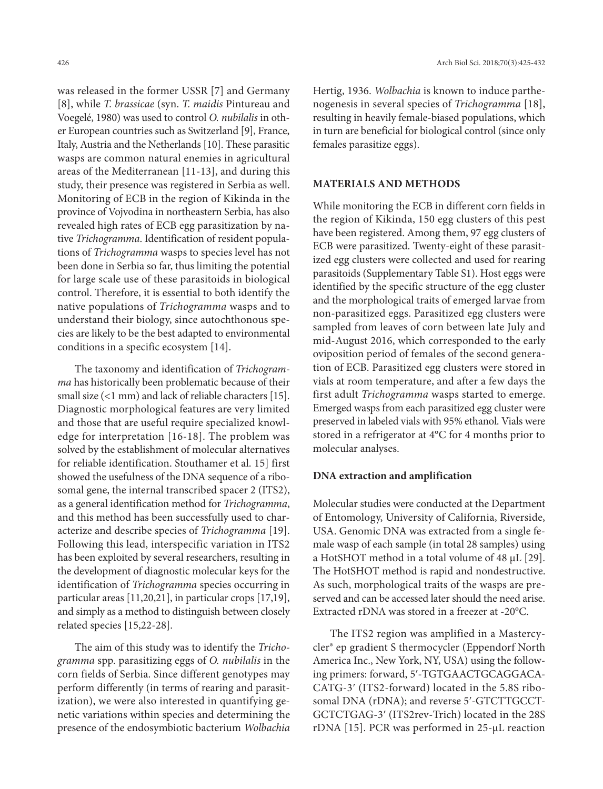was released in the former USSR [7] and Germany [8], while *T. brassicae* (syn. *T. maidis* Pintureau and Voegelé, 1980) was used to control *O. nubilalis* in other European countries such as Switzerland [9], France, Italy, Austria and the Netherlands [10]. These parasitic wasps are common natural enemies in agricultural areas of the Mediterranean [11-13], and during this study, their presence was registered in Serbia as well. Monitoring of ECB in the region of Kikinda in the province of Vojvodina in northeastern Serbia, has also revealed high rates of ECB egg parasitization by native *Trichogramma*. Identification of resident populations of *Trichogramma* wasps to species level has not been done in Serbia so far, thus limiting the potential for large scale use of these parasitoids in biological control. Therefore, it is essential to both identify the native populations of *Trichogramma* wasps and to understand their biology, since autochthonous species are likely to be the best adapted to environmental conditions in a specific ecosystem [14].

The taxonomy and identification of *Trichogramma* has historically been problematic because of their small size (*<*1 mm) and lack of reliable characters [15]. Diagnostic morphological features are very limited and those that are useful require specialized knowledge for interpretation [16-18]. The problem was solved by the establishment of molecular alternatives for reliable identification. Stouthamer et al. 15] first showed the usefulness of the DNA sequence of a ribosomal gene, the internal transcribed spacer 2 (ITS2), as a general identification method for *Trichogramma*, and this method has been successfully used to characterize and describe species of *Trichogramma* [19]. Following this lead, interspecific variation in ITS2 has been exploited by several researchers, resulting in the development of diagnostic molecular keys for the identification of *Trichogramma* species occurring in particular areas [11,20,21], in particular crops [17,19], and simply as a method to distinguish between closely related species [15,22-28].

The aim of this study was to identify the *Trichogramma* spp. parasitizing eggs of *O. nubilalis* in the corn fields of Serbia. Since different genotypes may perform differently (in terms of rearing and parasitization), we were also interested in quantifying genetic variations within species and determining the presence of the endosymbiotic bacterium *Wolbachia* 

Hertig, 1936. *Wolbachia* is known to induce parthenogenesis in several species of *Trichogramma* [18], resulting in heavily female-biased populations, which in turn are beneficial for biological control (since only females parasitize eggs).

# **MATERIALS AND METHODS**

While monitoring the ECB in different corn fields in the region of Kikinda, 150 egg clusters of this pest have been registered. Among them, 97 egg clusters of ECB were parasitized. Twenty-eight of these parasitized egg clusters were collected and used for rearing parasitoids (Supplementary Table S1). Host eggs were identified by the specific structure of the egg cluster and the morphological traits of emerged larvae from non-parasitized eggs. Parasitized egg clusters were sampled from leaves of corn between late July and mid-August 2016, which corresponded to the early oviposition period of females of the second generation of ECB. Parasitized egg clusters were stored in vials at room temperature, and after a few days the first adult *Trichogramma* wasps started to emerge. Emerged wasps from each parasitized egg cluster were preserved in labeled vials with 95% ethanol. Vials were stored in a refrigerator at 4°C for 4 months prior to molecular analyses.

#### **DNA extraction and amplification**

Molecular studies were conducted at the Department of Entomology, University of California, Riverside, USA. Genomic DNA was extracted from a single female wasp of each sample (in total 28 samples) using a HotSHOT method in a total volume of 48 µL [29]. The HotSHOT method is rapid and nondestructive. As such, morphological traits of the wasps are preserved and can be accessed later should the need arise. Extracted rDNA was stored in a freezer at -20°C.

The ITS2 region was amplified in a Mastercycler® ep gradient S thermocycler (Eppendorf North America Inc., New York, NY, USA) using the following primers: forward, 5ʹ-TGTGAACTGCAGGACA-CATG-3ʹ (ITS2-forward) located in the 5.8S ribosomal DNA (rDNA); and reverse 5ʹ-GTCTTGCCT-GCTCTGAG-3ʹ (ITS2rev-Trich) located in the 28S rDNA [15]. PCR was performed in 25-µL reaction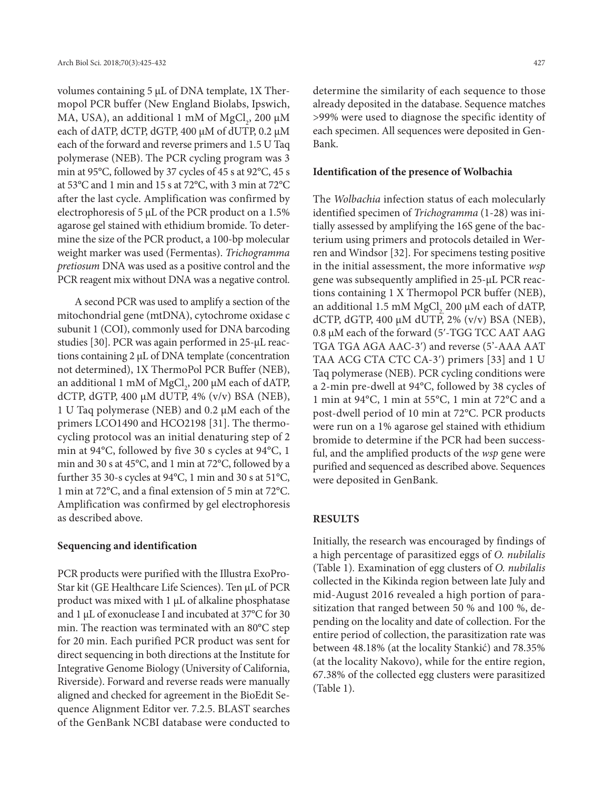volumes containing 5 µL of DNA template, 1X Thermopol PCR buffer (New England Biolabs, Ipswich, MA, USA), an additional 1 mM of  ${ {\rm MgCl}_2}$ , 200 µM each of dATP, dCTP, dGTP, 400 µM of dUTP, 0.2 µM each of the forward and reverse primers and 1.5 U Taq polymerase (NEB). The PCR cycling program was 3 min at 95°C, followed by 37 cycles of 45 s at 92°C, 45 s at 53°C and 1 min and 15 s at 72°C, with 3 min at 72°C after the last cycle. Amplification was confirmed by electrophoresis of 5 µL of the PCR product on a 1.5% agarose gel stained with ethidium bromide. To determine the size of the PCR product, a 100-bp molecular weight marker was used (Fermentas). *Trichogramma pretiosum* DNA was used as a positive control and the PCR reagent mix without DNA was a negative control.

A second PCR was used to amplify a section of the mitochondrial gene (mtDNA), cytochrome oxidase c subunit 1 (COI), commonly used for DNA barcoding studies [30]. PCR was again performed in 25-μL reactions containing 2 μL of DNA template (concentration not determined), 1X ThermoPol PCR Buffer (NEB), an additional 1 mM of  $\mathrm{MgCl}_2$ , 200 µM each of dATP, dCTP, dGTP, 400  $\mu$ M dUTP, 4% (v/v) BSA (NEB), 1 U Taq polymerase (NEB) and 0.2 μM each of the primers LCO1490 and HCO2198 [31]. The thermocycling protocol was an initial denaturing step of 2 min at 94°C, followed by five 30 s cycles at 94°C, 1 min and 30 s at 45°C, and 1 min at 72°C, followed by a further 35 30-s cycles at 94°C, 1 min and 30 s at 51°C, 1 min at 72°C, and a final extension of 5 min at 72°C. Amplification was confirmed by gel electrophoresis as described above.

## **Sequencing and identification**

PCR products were purified with the Illustra ExoPro-Star kit (GE Healthcare Life Sciences). Ten µL of PCR product was mixed with 1 µL of alkaline phosphatase and 1 µL of exonuclease I and incubated at 37°C for 30 min. The reaction was terminated with an 80°C step for 20 min. Each purified PCR product was sent for direct sequencing in both directions at the Institute for Integrative Genome Biology (University of California, Riverside). Forward and reverse reads were manually aligned and checked for agreement in the BioEdit Sequence Alignment Editor ver. 7.2.5. BLAST searches of the GenBank NCBI database were conducted to

determine the similarity of each sequence to those already deposited in the database. Sequence matches >99% were used to diagnose the specific identity of each specimen. All sequences were deposited in Gen-Bank.

#### **Identification of the presence of Wolbachia**

The *Wolbachia* infection status of each molecularly identified specimen of *Trichogramma* (1-28) was initially assessed by amplifying the 16S gene of the bacterium using primers and protocols detailed in Werren and Windsor [32]. For specimens testing positive in the initial assessment, the more informative *wsp* gene was subsequently amplified in 25-µL PCR reactions containing 1 X Thermopol PCR buffer (NEB), an additional 1.5 mM MgCl, 200  $\mu$ M each of dATP, dCTP, dGTP, 400  $\mu$ M dUTP, 2%  $\left(\frac{v}{v}\right)$  BSA (NEB), 0.8 µM each of the forward (5ʹ-TGG TCC AAT AAG TGA TGA AGA AAC-3ʹ) and reverse (5'-AAA AAT TAA ACG CTA CTC CA-3ʹ) primers [33] and 1 U Taq polymerase (NEB). PCR cycling conditions were a 2-min pre-dwell at 94°C, followed by 38 cycles of 1 min at 94°C, 1 min at 55°C, 1 min at 72°C and a post-dwell period of 10 min at 72°C. PCR products were run on a 1% agarose gel stained with ethidium bromide to determine if the PCR had been successful, and the amplified products of the *wsp* gene were purified and sequenced as described above. Sequences were deposited in GenBank.

# **RESULTS**

Initially, the research was encouraged by findings of a high percentage of parasitized eggs of *O. nubilalis* (Table 1)*.* Examination of egg clusters of *O. nubilalis* collected in the Kikinda region between late July and mid-August 2016 revealed a high portion of parasitization that ranged between 50 % and 100 %, depending on the locality and date of collection. For the entire period of collection, the parasitization rate was between 48.18% (at the locality Stankić) and 78.35% (at the locality Nakovo), while for the entire region, 67.38% of the collected egg clusters were parasitized (Table 1).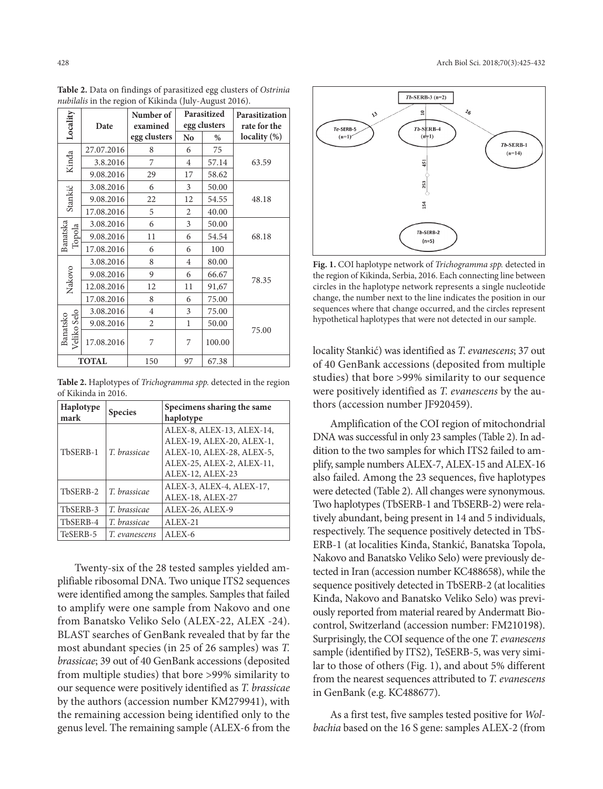| Locality                | Date       | Parasitized<br>Number of<br>egg clusters<br>examined |                | Parasitization<br>rate for the |              |
|-------------------------|------------|------------------------------------------------------|----------------|--------------------------------|--------------|
|                         |            | egg clusters                                         | N <sub>o</sub> | $\%$                           | locality (%) |
| Kinda                   | 27.07.2016 | 8                                                    | 6              | 75                             |              |
|                         | 3.8.2016   | 7                                                    | $\overline{4}$ | 57.14                          | 63.59        |
|                         | 9.08.2016  | 29                                                   | 17             | 58.62                          |              |
| Stankić                 | 3.08.2016  | 6                                                    | 3              | 50.00                          |              |
|                         | 9.08.2016  | 22                                                   | 12             | 54.55                          | 48.18        |
|                         | 17.08.2016 | 5                                                    | 2              | 40.00                          |              |
| Banatska<br>Topola      | 3.08.2016  | 6                                                    | 3              | 50.00                          |              |
|                         | 9.08.2016  | 11                                                   | 6              | 54.54                          | 68.18        |
|                         | 17.08.2016 | 6                                                    | 6              | 100                            |              |
| Nakovo                  | 3.08.2016  | 8                                                    | $\overline{4}$ | 80.00                          | 78.35        |
|                         | 9.08.2016  | 9                                                    | 6              | 66.67                          |              |
|                         | 12.08.2016 | 12                                                   | 11             | 91,67                          |              |
|                         | 17.08.2016 | 8                                                    | 6              | 75.00                          |              |
| Veliko Selo<br>Banatsko | 3.08.2016  | $\overline{4}$                                       | 3              | 75.00                          |              |
|                         | 9.08.2016  | $\overline{2}$                                       | $\mathbf{1}$   | 50.00                          |              |
|                         | 17.08.2016 | 7                                                    | 7              | 100.00                         | 75.00        |
| <b>TOTAL</b>            |            | 150                                                  | 97             | 67.38                          |              |

**Table 2.** Data on findings of parasitized egg clusters of *Ostrinia nubilalis* in the region of Kikinda (July-August 2016).

**Table 2.** Haplotypes of *Trichogramma spp.* detected in the region of Kikinda in 2016.

| Haplotype<br>mark | <b>Species</b> | Specimens sharing the same<br>haplotype                                                                                              |  |  |
|-------------------|----------------|--------------------------------------------------------------------------------------------------------------------------------------|--|--|
| TbSERB-1          | T. brassicae   | ALEX-8, ALEX-13, ALEX-14,<br>ALEX-19, ALEX-20, ALEX-1,<br>ALEX-10, ALEX-28, ALEX-5,<br>ALEX-25, ALEX-2, ALEX-11,<br>ALEX-12, ALEX-23 |  |  |
| TbSERB-2          | T. brassicae   | ALEX-3, ALEX-4, ALEX-17,<br>ALEX-18, ALEX-27                                                                                         |  |  |
| TbSERB-3          | T. brassicae   | ALEX-26, ALEX-9                                                                                                                      |  |  |
| TbSERB-4          | T. brassicae   | $ALEX-21$                                                                                                                            |  |  |
| TeSERB-5          | T. evanescens  | $ALEX-6$                                                                                                                             |  |  |

Twenty-six of the 28 tested samples yielded amplifiable ribosomal DNA. Two unique ITS2 sequences were identified among the samples. Samples that failed to amplify were one sample from Nakovo and one from Banatsko Veliko Selo (ALEX-22, ALEX -24). BLAST searches of GenBank revealed that by far the most abundant species (in 25 of 26 samples) was *T. brassicae*; 39 out of 40 GenBank accessions (deposited from multiple studies) that bore >99% similarity to our sequence were positively identified as *T. brassicae* by the authors (accession number KM279941), with the remaining accession being identified only to the genus level. The remaining sample (ALEX-6 from the



**Fig. 1.** COI haplotype network of *Trichogramma spp.* detected in the region of Kikinda, Serbia, 2016. Each connecting line between circles in the haplotype network represents a single nucleotide change, the number next to the line indicates the position in our sequences where that change occurred, and the circles represent hypothetical haplotypes that were not detected in our sample.

locality Stankić) was identified as *T. evanescens*; 37 out of 40 GenBank accessions (deposited from multiple studies) that bore >99% similarity to our sequence were positively identified as *T. evanescens* by the authors (accession number JF920459).

Amplification of the COI region of mitochondrial DNA was successful in only 23 samples (Table 2). In addition to the two samples for which ITS2 failed to amplify, sample numbers ALEX-7, ALEX-15 and ALEX-16 also failed. Among the 23 sequences, five haplotypes were detected (Table 2). All changes were synonymous. Two haplotypes (TbSERB-1 and TbSERB-2) were relatively abundant, being present in 14 and 5 individuals, respectively. The sequence positively detected in TbS-ERB-1 (at localities Kinđa, Stankić, Banatska Topola, Nakovo and Banatsko Veliko Selo) were previously detected in Iran (accession number KC488658), while the sequence positively detected in TbSERB-2 (at localities Kinđa, Nakovo and Banatsko Veliko Selo) was previously reported from material reared by Andermatt Biocontrol, Switzerland (accession number: FM210198). Surprisingly, the COI sequence of the one *T. evanescens* sample (identified by ITS2), TeSERB-5, was very similar to those of others (Fig. 1), and about 5% different from the nearest sequences attributed to *T. evanescens* in GenBank (e.g. KC488677).

As a first test, five samples tested positive for *Wolbachia* based on the 16 S gene: samples ALEX-2 (from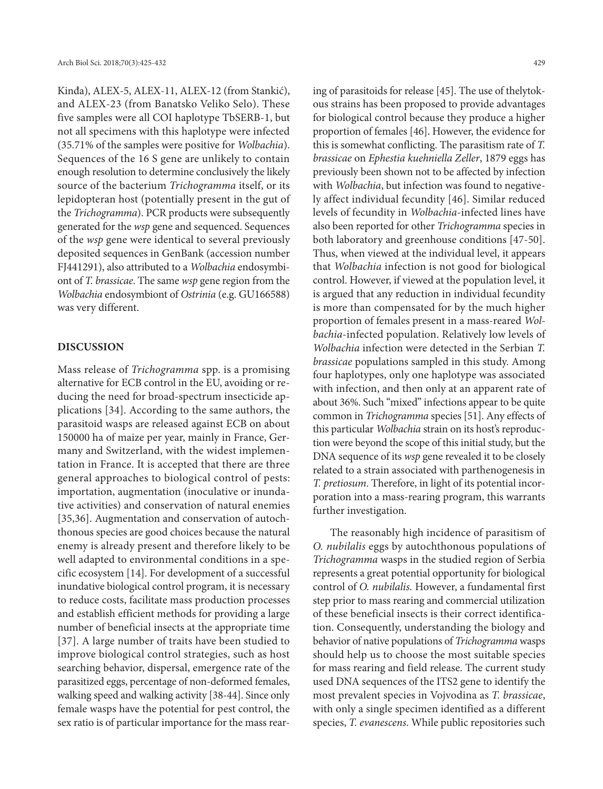Kinđa), ALEX-5, ALEX-11, ALEX-12 (from Stankić), and ALEX-23 (from Banatsko Veliko Selo). These five samples were all COI haplotype TbSERB-1, but not all specimens with this haplotype were infected (35.71% of the samples were positive for *Wolbachia*). Sequences of the 16 S gene are unlikely to contain enough resolution to determine conclusively the likely source of the bacterium *Trichogramma* itself, or its lepidopteran host (potentially present in the gut of the *Trichogramma*). PCR products were subsequently generated for the *wsp* gene and sequenced. Sequences of the *wsp* gene were identical to several previously deposited sequences in GenBank (accession number FJ441291), also attributed to a *Wolbachia* endosymbiont of *T. brassicae*. The same *wsp* gene region from the *Wolbachia* endosymbiont of *Ostrinia* (e.g. GU166588) was very different.

#### **DISCUSSION**

Mass release of *Trichogramma* spp. is a promising alternative for ECB control in the EU, avoiding or reducing the need for broad-spectrum insecticide applications [34]. According to the same authors, the parasitoid wasps are released against ECB on about 150000 ha of maize per year, mainly in France, Germany and Switzerland, with the widest implementation in France. It is accepted that there are three general approaches to biological control of pests: importation, augmentation (inoculative or inundative activities) and conservation of natural enemies [35,36]. Augmentation and conservation of autochthonous species are good choices because the natural enemy is already present and therefore likely to be well adapted to environmental conditions in a specific ecosystem [14]. For development of a successful inundative biological control program, it is necessary to reduce costs, facilitate mass production processes and establish efficient methods for providing a large number of beneficial insects at the appropriate time [37]. A large number of traits have been studied to improve biological control strategies, such as host searching behavior, dispersal, emergence rate of the parasitized eggs, percentage of non-deformed females, walking speed and walking activity [38-44]. Since only female wasps have the potential for pest control, the sex ratio is of particular importance for the mass rear-

ing of parasitoids for release [45]. The use of thelytokous strains has been proposed to provide advantages for biological control because they produce a higher proportion of females [46]. However, the evidence for this is somewhat conflicting. The parasitism rate of *T. brassicae* on *Ephestia kuehniella Zeller*, 1879 eggs has previously been shown not to be affected by infection with *Wolbachia*, but infection was found to negatively affect individual fecundity [46]. Similar reduced levels of fecundity in *Wolbachia*-infected lines have also been reported for other *Trichogramma* species in both laboratory and greenhouse conditions [47-50]. Thus, when viewed at the individual level, it appears that *Wolbachia* infection is not good for biological control. However, if viewed at the population level, it is argued that any reduction in individual fecundity is more than compensated for by the much higher proportion of females present in a mass-reared *Wolbachia*-infected population. Relatively low levels of *Wolbachia* infection were detected in the Serbian *T. brassicae* populations sampled in this study. Among four haplotypes, only one haplotype was associated with infection, and then only at an apparent rate of about 36%. Such "mixed" infections appear to be quite common in *Trichogramma* species [51]. Any effects of this particular *Wolbachia* strain on its host's reproduction were beyond the scope of this initial study, but the DNA sequence of its *wsp* gene revealed it to be closely related to a strain associated with parthenogenesis in *T. pretiosum*. Therefore, in light of its potential incorporation into a mass-rearing program, this warrants further investigation.

The reasonably high incidence of parasitism of *O. nubilalis* eggs by autochthonous populations of *Trichogramma* wasps in the studied region of Serbia represents a great potential opportunity for biological control of *O. nubilalis.* However, a fundamental first step prior to mass rearing and commercial utilization of these beneficial insects is their correct identification. Consequently, understanding the biology and behavior of native populations of *Trichogramma* wasps should help us to choose the most suitable species for mass rearing and field release. The current study used DNA sequences of the ITS2 gene to identify the most prevalent species in Vojvodina as *T. brassicae*, with only a single specimen identified as a different species, *T. evanescens*. While public repositories such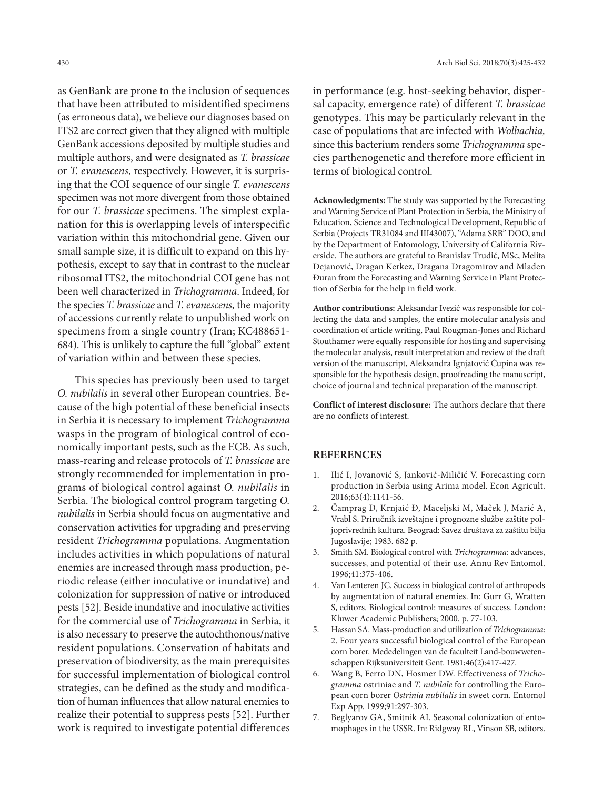as GenBank are prone to the inclusion of sequences that have been attributed to misidentified specimens (as erroneous data), we believe our diagnoses based on ITS2 are correct given that they aligned with multiple GenBank accessions deposited by multiple studies and multiple authors, and were designated as *T. brassicae* or *T. evanescens*, respectively. However, it is surprising that the COI sequence of our single *T. evanescens* specimen was not more divergent from those obtained for our *T. brassicae* specimens. The simplest explanation for this is overlapping levels of interspecific variation within this mitochondrial gene. Given our small sample size, it is difficult to expand on this hypothesis, except to say that in contrast to the nuclear ribosomal ITS2, the mitochondrial COI gene has not been well characterized in *Trichogramma*. Indeed, for the species *T. brassicae* and *T. evanescens*, the majority of accessions currently relate to unpublished work on specimens from a single country (Iran; KC488651- 684). This is unlikely to capture the full "global" extent of variation within and between these species.

This species has previously been used to target *O. nubilalis* in several other European countries. Because of the high potential of these beneficial insects in Serbia it is necessary to implement *Trichogramma* wasps in the program of biological control of economically important pests, such as the ECB. As such, mass-rearing and release protocols of *T. brassicae* are strongly recommended for implementation in programs of biological control against *O. nubilalis* in Serbia. The biological control program targeting *O. nubilalis* in Serbia should focus on augmentative and conservation activities for upgrading and preserving resident *Trichogramma* populations. Augmentation includes activities in which populations of natural enemies are increased through mass production, periodic release (either inoculative or inundative) and colonization for suppression of native or introduced pests [52]. Beside inundative and inoculative activities for the commercial use of *Trichogramma* in Serbia, it is also necessary to preserve the autochthonous/native resident populations. Conservation of habitats and preservation of biodiversity, as the main prerequisites for successful implementation of biological control strategies, can be defined as the study and modification of human influences that allow natural enemies to realize their potential to suppress pests [52]. Further work is required to investigate potential differences

in performance (e.g. host-seeking behavior, dispersal capacity, emergence rate) of different *T. brassicae* genotypes. This may be particularly relevant in the case of populations that are infected with *Wolbachia,*  since this bacterium renders some *Trichogramma* species parthenogenetic and therefore more efficient in terms of biological control.

**Acknowledgments:** The study was supported by the Forecasting and Warning Service of Plant Protection in Serbia, the Ministry of Education, Science and Technological Development, Republic of Serbia (Projects TR31084 and III43007), "Adama SRB" DOO, and by the Department of Entomology, University of California Riverside. The authors are grateful to Branislav Trudić, MSc, Melita Dejanović, Dragan Kerkez, Dragana Dragomirov and Mladen Đuran from the Forecasting and Warning Service in Plant Protection of Serbia for the help in field work.

**Author contributions:** Aleksandar Ivezić was responsible for collecting the data and samples, the entire molecular analysis and coordination of article writing, Paul Rougman-Jones and Richard Stouthamer were equally responsible for hosting and supervising the molecular analysis, result interpretation and review of the draft version of the manuscript, Aleksandra Ignjatović Ćupina was responsible for the hypothesis design, proofreading the manuscript, choice of journal and technical preparation of the manuscript.

**Conflict of interest disclosure:** The authors declare that there are no conflicts of interest.

# **REFERENCES**

- 1. Ilić I, Jovanović S, Janković-Miličić V. Forecasting corn production in Serbia using Arima model. Econ Agricult. 2016;63(4):1141-56.
- 2. Čamprag D, Krnjaić Đ, Maceljski M, Maček J, Marić A, Vrabl S. Priručnik izveštajne i prognozne službe zaštite poljoprivrednih kultura. Beograd: Savez društava za zaštitu bilja Jugoslavije; 1983. 682 p.
- 3. Smith SM. Biological control with *Trichogramma*: advances, successes, and potential of their use. Annu Rev Entomol. 1996;41:375-406.
- 4. Van Lenteren JC. Success in biological control of arthropods by augmentation of natural enemies. In: Gurr G, Wratten S, editors. Biological control: measures of success. London: Kluwer Academic Publishers; 2000. p. 77-103.
- 5. Hassan SA. Mass-production and utilization of *Trichogramma*: 2. Four years successful biological control of the European corn borer. Mededelingen van de faculteit Land-bouwwetenschappen Rijksuniversiteit Gent. 1981;46(2):417-427.
- 6. Wang B, Ferro DN, Hosmer DW. Effectiveness of *Trichogramma* ostriniae and *T. nubilale* for controlling the European corn borer *Ostrinia nubilalis* in sweet corn. Entomol Exp App. 1999;91:297-303.
- 7. Beglyarov GA, Smitnik AI. Seasonal colonization of entomophages in the USSR. In: Ridgway RL, Vinson SB, editors.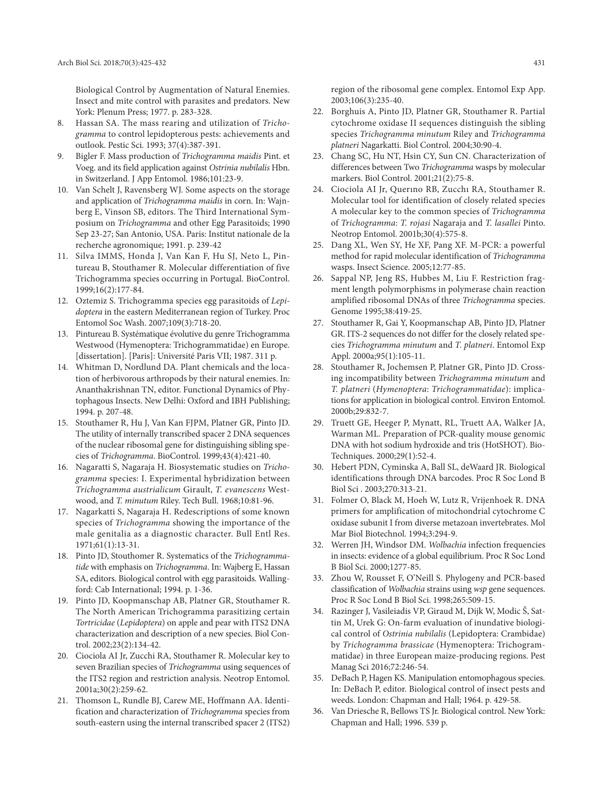Biological Control by Augmentation of Natural Enemies. Insect and mite control with parasites and predators. New York: Plenum Press; 1977. p. 283-328.

- 8. Hassan SA. The mass rearing and utilization of *Trichogramma* to control lepidopterous pests: achievements and outlook. Pestic Sci. 1993; 37(4):387-391.
- 9. Bigler F. Mass production of *Trichogramma maidis* Pint. et Voeg. and its field application against *Ostrinia nubilalis* Hbn. in Switzerland. J App Entomol. 1986;101:23-9.
- 10. Van Schelt J, Ravensberg WJ. Some aspects on the storage and application of *Trichogramma maidis* in corn. In: Wajnberg E, Vinson SB, editors. The Third International Symposium on *Trichogramma* and other Egg Parasitoids; 1990 Sep 23-27; San Antonio, USA. Paris: Institut nationale de la recherche agronomique; 1991. p. 239-42
- 11. Silva IMMS, Honda J, Van Kan F, Hu SJ, Neto L, Pintureau B, Stouthamer R. Molecular differentiation of five Trichogramma species occurring in Portugal. BioControl. 1999;16(2):177-84.
- 12. Oztemiz S. Trichogramma species egg parasitoids of *Lepidoptera* in the eastern Mediterranean region of Turkey. Proc Entomol Soc Wash. 2007;109(3):718-20.
- 13. Pintureau B. Systématique évolutive du genre Trichogramma Westwood (Hymenoptera: Trichogrammatidae) en Europe. [dissertation]. [Paris]: Université Paris VII; 1987. 311 p.
- 14. Whitman D, Nordlund DA. Plant chemicals and the location of herbivorous arthropods by their natural enemies. In: Ananthakrishnan TN, editor. Functional Dynamics of Phytophagous Insects. New Delhi: Oxford and IBH Publishing; 1994. p. 207-48.
- 15. Stouthamer R, Hu J, Van Kan FJPM, Platner GR, Pinto JD. The utility of internally transcribed spacer 2 DNA sequences of the nuclear ribosomal gene for distinguishing sibling species of *Trichogramma*. BioControl. 1999;43(4):421-40.
- 16. Nagaratti S, Nagaraja H. Biosystematic studies on *Trichogramma* species: I. Experimental hybridization between *Trichogramma austrialicum* Girault, *T. evanescens* Westwood, and *T. minutum* Riley. Tech Bull. 1968;10:81-96.
- 17. Nagarkatti S, Nagaraja H. Redescriptions of some known species of *Trichogramma* showing the importance of the male genitalia as a diagnostic character. Bull Entl Res. 1971;61(1):13-31.
- 18. Pinto JD, Stouthomer R. Systematics of the *Trichogrammatide* with emphasis on *Trichogramma*. In: Wajberg E, Hassan SA, editors. Biological control with egg parasitoids. Wallingford: Cab International; 1994. p. 1-36.
- 19. Pinto JD, Koopmanschap AB, Platner GR, Stouthamer R. The North American Trichogramma parasitizing certain *Tortricidae* (*Lepidoptera*) on apple and pear with ITS2 DNA characterization and description of a new species. Biol Control. 2002;23(2):134-42.
- 20. Ciociola AI Jr, Zucchi RA, Stouthamer R. Molecular key to seven Brazilian species of *Trichogramma* using sequences of the ITS2 region and restriction analysis. Neotrop Entomol. 2001a;30(2):259-62.
- 21. Thomson L, Rundle BJ, Carew ME, Hoffmann AA. Identification and characterization of *Trichogramma* species from south-eastern using the internal transcribed spacer 2 (ITS2)

region of the ribosomal gene complex. Entomol Exp App. 2003;106(3):235-40.

- 22. Borghuis A, Pinto JD, Platner GR, Stouthamer R. Partial cytochrome oxidase II sequences distinguish the sibling species *Trichogramma minutum* Riley and *Trichogramma platneri* Nagarkatti. Biol Control. 2004;30:90-4.
- 23. Chang SC, Hu NT, Hsin CY, Sun CN. Characterization of differences between Two *Trichogramma* wasps by molecular markers. Biol Control. 2001;21(2):75-8.
- 24. Ciociola AI Jr, Querıno RB, Zucchı RA, Stouthamer R. Molecular tool for identification of closely related species A molecular key to the common species of *Trichogramma*  of *Trichogramma*: *T. rojasi* Nagaraja and *T. lasallei* Pinto. Neotrop Entomol. 2001b;30(4):575-8.
- 25. Dang XL, Wen SY, He XF, Pang XF. M-PCR: a powerful method for rapid molecular identification of *Trichogramma* wasps. Insect Science. 2005;12:77-85.
- 26. Sappal NP, Jeng RS, Hubbes M, Liu F. Restriction fragment length polymorphisms in polymerase chain reaction amplified ribosomal DNAs of three *Trichogramma* species. Genome 1995;38:419-25.
- 27. Stouthamer R, Gai Y, Koopmanschap AB, Pinto JD, Platner GR. ITS-2 sequences do not differ for the closely related species *Trichogramma minutum* and *T. platneri*. Entomol Exp Appl. 2000a;95(1):105-11.
- 28. Stouthamer R, Jochemsen P, Platner GR, Pinto JD. Crossing incompatibility between *Trichogramma minutum* and *T. platneri* (*Hymenoptera*: *Trichogrammatidae*): implications for application in biological control. Environ Entomol. 2000b;29:832-7.
- 29. Truett GE, Heeger P, Mynatt, RL, Truett AA, Walker JA, Warman ML. Preparation of PCR-quality mouse genomic DNA with hot sodium hydroxide and tris (HotSHOT). Bio-Techniques. 2000;29(1):52-4.
- 30. Hebert PDN, Cyminska A, Ball SL, deWaard JR. Biological identifications through DNA barcodes. Proc R Soc Lond B Biol Sci . 2003;270:313-21.
- 31. Folmer O, Black M, Hoeh W, Lutz R, Vrijenhoek R. DNA primers for amplification of mitochondrial cytochrome C oxidase subunit I from diverse metazoan invertebrates. Mol Mar Biol Biotechnol. 1994;3:294-9.
- 32. Werren JH, Windsor DM. *Wolbachia* infection frequencies in insects: evidence of a global equilibrium. Proc R Soc Lond B Biol Sci. 2000;1277-85.
- 33. Zhou W, Rousset F, O'Neill S. Phylogeny and PCR-based classification of *Wolbachia* strains using *wsp* gene sequences. Proc R Soc Lond B Biol Sci. 1998;265:509-15.
- 34. Razinger J, Vasileiadis VP, Giraud M, Dijk W, Modic Š, Sattin M, Urek G: On-farm evaluation of inundative biological control of *Ostrinia nubilalis* (Lepidoptera: Crambidae) by *Trichogramma brassicae* (Hymenoptera: Trichogrammatidae) in three European maize-producing regions. Pest Manag Sci 2016;72:246-54.
- 35. DeBach P, Hagen KS. Manipulation entomophagous species. In: DeBach P, editor. Biological control of insect pests and weeds. London: Chapman and Hall; 1964. p. 429-58.
- 36. Van Driesche R, Bellows TS Jr. Biological control. New York: Chapman and Hall; 1996. 539 p.